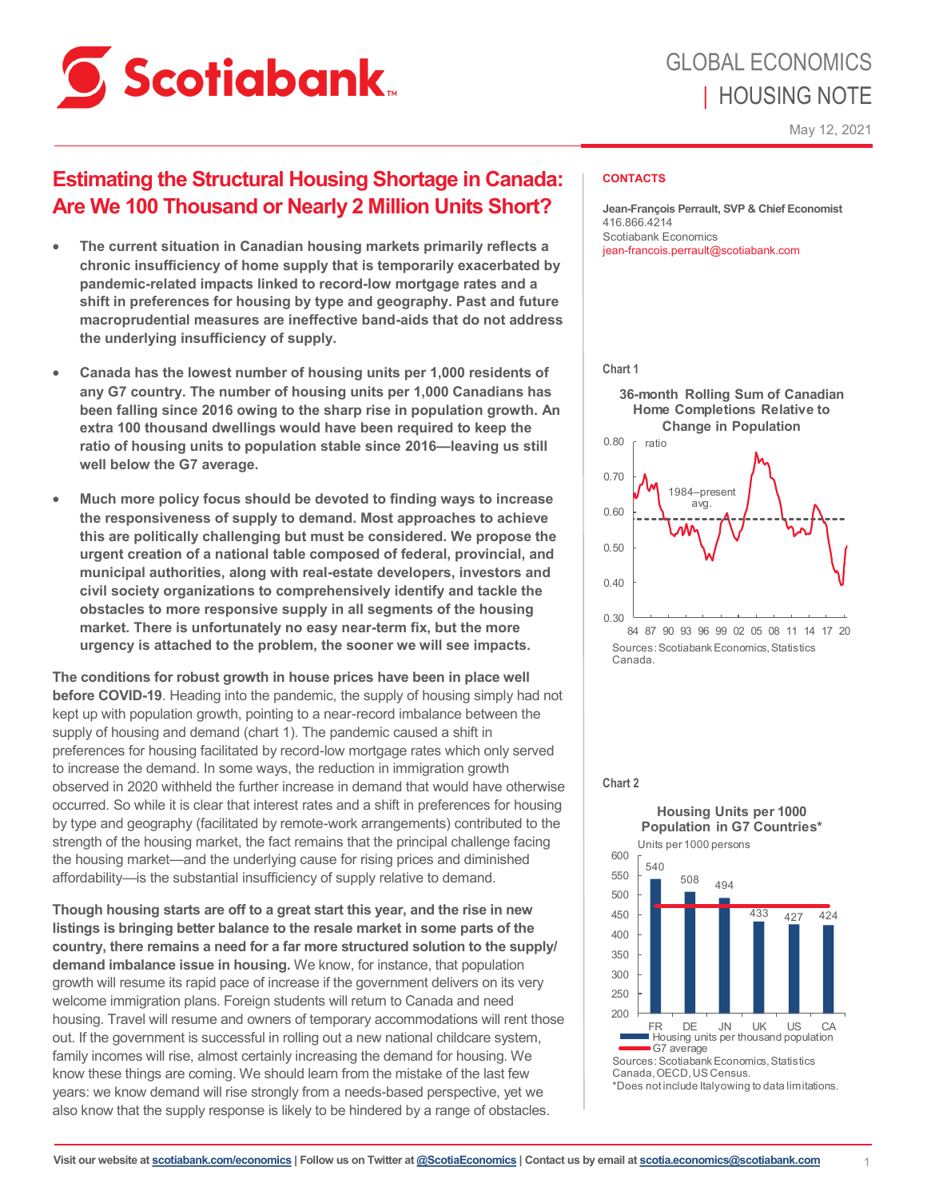

# **Estimating the Structural Housing Shortage in Canada: Are We 100 Thousand or Nearly 2 Million Units Short?**

- **The current situation in Canadian housing markets primarily reflects a chronic insufficiency of home supply that is temporarily exacerbated by pandemic-related impacts linked to record-low mortgage rates and a shift in preferences for housing by type and geography. Past and future macroprudential measures are ineffective band-aids that do not address the underlying insufficiency of supply.**
- **Canada has the lowest number of housing units per 1,000 residents of any G7 country. The number of housing units per 1,000 Canadians has been falling since 2016 owing to the sharp rise in population growth. An extra 100 thousand dwellings would have been required to keep the ratio of housing units to population stable since 2016—leaving us still well below the G7 average.**
- **Much more policy focus should be devoted to finding ways to increase the responsiveness of supply to demand. Most approaches to achieve this are politically challenging but must be considered. We propose the urgent creation of a national table composed of federal, provincial, and municipal authorities, along with real-estate developers, investors and civil society organizations to comprehensively identify and tackle the obstacles to more responsive supply in all segments of the housing market. There is unfortunately no easy near-term fix, but the more urgency is attached to the problem, the sooner we will see impacts.**

**The conditions for robust growth in house prices have been in place well before COVID-19**. Heading into the pandemic, the supply of housing simply had not kept up with population growth, pointing to a near-record imbalance between the supply of housing and demand (chart 1). The pandemic caused a shift in preferences for housing facilitated by record-low mortgage rates which only served to increase the demand. In some ways, the reduction in immigration growth observed in 2020 withheld the further increase in demand that would have otherwise occurred. So while it is clear that interest rates and a shift in preferences for housing by type and geography (facilitated by remote-work arrangements) contributed to the strength of the housing market, the fact remains that the principal challenge facing the housing market—and the underlying cause for rising prices and diminished affordability—is the substantial insufficiency of supply relative to demand.

**Though housing starts are off to a great start this year, and the rise in new listings is bringing better balance to the resale market in some parts of the country, there remains a need for a far more structured solution to the supply/ demand imbalance issue in housing.** We know, for instance, that population growth will resume its rapid pace of increase if the government delivers on its very welcome immigration plans. Foreign students will return to Canada and need housing. Travel will resume and owners of temporary accommodations will rent those out. If the government is successful in rolling out a new national childcare system, family incomes will rise, almost certainly increasing the demand for housing. We know these things are coming. We should learn from the mistake of the last few years: we know demand will rise strongly from a needs-based perspective, yet we also know that the supply response is likely to be hindered by a range of obstacles.

## **CONTACTS**

**Jean-François Perrault, SVP & Chief Economist** 416.866.4214 Scotiabank Economics jean-francois.perrault@scotiabank.com

#### **Chart 1**



#### **Chart 2**

**Housing Units per 1000 Population in G7 Countries\***

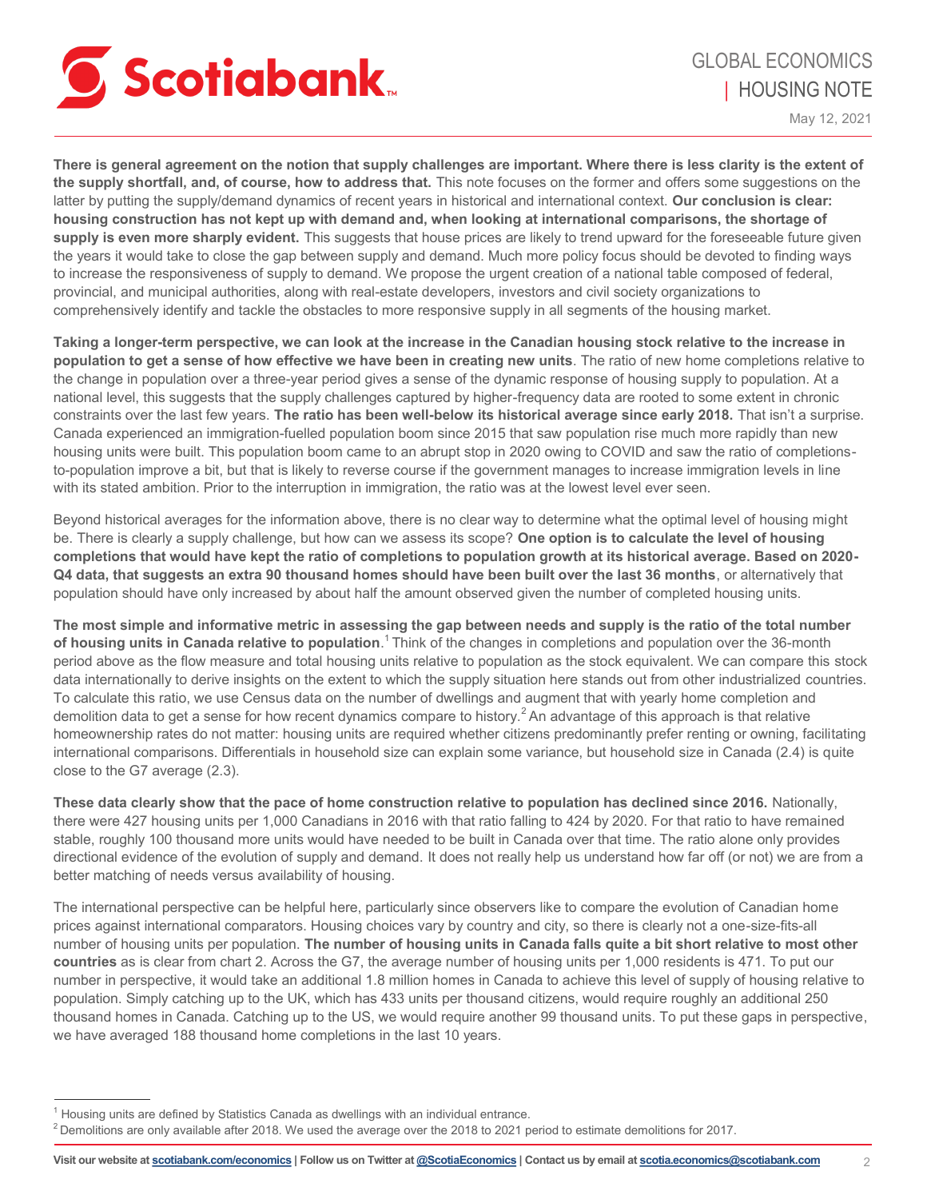

**There is general agreement on the notion that supply challenges are important. Where there is less clarity is the extent of the supply shortfall, and, of course, how to address that.** This note focuses on the former and offers some suggestions on the latter by putting the supply/demand dynamics of recent years in historical and international context. **Our conclusion is clear: housing construction has not kept up with demand and, when looking at international comparisons, the shortage of**  supply is even more sharply evident. This suggests that house prices are likely to trend upward for the foreseeable future given the years it would take to close the gap between supply and demand. Much more policy focus should be devoted to finding ways to increase the responsiveness of supply to demand. We propose the urgent creation of a national table composed of federal, provincial, and municipal authorities, along with real-estate developers, investors and civil society organizations to comprehensively identify and tackle the obstacles to more responsive supply in all segments of the housing market.

**Taking a longer-term perspective, we can look at the increase in the Canadian housing stock relative to the increase in population to get a sense of how effective we have been in creating new units**. The ratio of new home completions relative to the change in population over a three-year period gives a sense of the dynamic response of housing supply to population. At a national level, this suggests that the supply challenges captured by higher-frequency data are rooted to some extent in chronic constraints over the last few years. **The ratio has been well-below its historical average since early 2018.** That isn't a surprise. Canada experienced an immigration-fuelled population boom since 2015 that saw population rise much more rapidly than new housing units were built. This population boom came to an abrupt stop in 2020 owing to COVID and saw the ratio of completionsto-population improve a bit, but that is likely to reverse course if the government manages to increase immigration levels in line with its stated ambition. Prior to the interruption in immigration, the ratio was at the lowest level ever seen.

Beyond historical averages for the information above, there is no clear way to determine what the optimal level of housing might be. There is clearly a supply challenge, but how can we assess its scope? **One option is to calculate the level of housing completions that would have kept the ratio of completions to population growth at its historical average. Based on 2020- Q4 data, that suggests an extra 90 thousand homes should have been built over the last 36 months**, or alternatively that population should have only increased by about half the amount observed given the number of completed housing units.

**The most simple and informative metric in assessing the gap between needs and supply is the ratio of the total number**  of housing units in Canada relative to population.<sup>1</sup> Think of the changes in completions and population over the 36-month period above as the flow measure and total housing units relative to population as the stock equivalent. We can compare this stock data internationally to derive insights on the extent to which the supply situation here stands out from other industrialized countries. To calculate this ratio, we use Census data on the number of dwellings and augment that with yearly home completion and demolition data to get a sense for how recent dynamics compare to history.<sup>2</sup> An advantage of this approach is that relative homeownership rates do not matter: housing units are required whether citizens predominantly prefer renting or owning, facilitating international comparisons. Differentials in household size can explain some variance, but household size in Canada (2.4) is quite close to the G7 average (2.3).

**These data clearly show that the pace of home construction relative to population has declined since 2016.** Nationally, there were 427 housing units per 1,000 Canadians in 2016 with that ratio falling to 424 by 2020. For that ratio to have remained stable, roughly 100 thousand more units would have needed to be built in Canada over that time. The ratio alone only provides directional evidence of the evolution of supply and demand. It does not really help us understand how far off (or not) we are from a better matching of needs versus availability of housing.

The international perspective can be helpful here, particularly since observers like to compare the evolution of Canadian home prices against international comparators. Housing choices vary by country and city, so there is clearly not a one-size-fits-all number of housing units per population. **The number of housing units in Canada falls quite a bit short relative to most other countries** as is clear from chart 2. Across the G7, the average number of housing units per 1,000 residents is 471. To put our number in perspective, it would take an additional 1.8 million homes in Canada to achieve this level of supply of housing relative to population. Simply catching up to the UK, which has 433 units per thousand citizens, would require roughly an additional 250 thousand homes in Canada. Catching up to the US, we would require another 99 thousand units. To put these gaps in perspective, we have averaged 188 thousand home completions in the last 10 years.

<sup>&</sup>lt;sup>1</sup> Housing units are defined by Statistics Canada as dwellings with an individual entrance.

 $2$  Demolitions are only available after 2018. We used the average over the 2018 to 2021 period to estimate demolitions for 2017.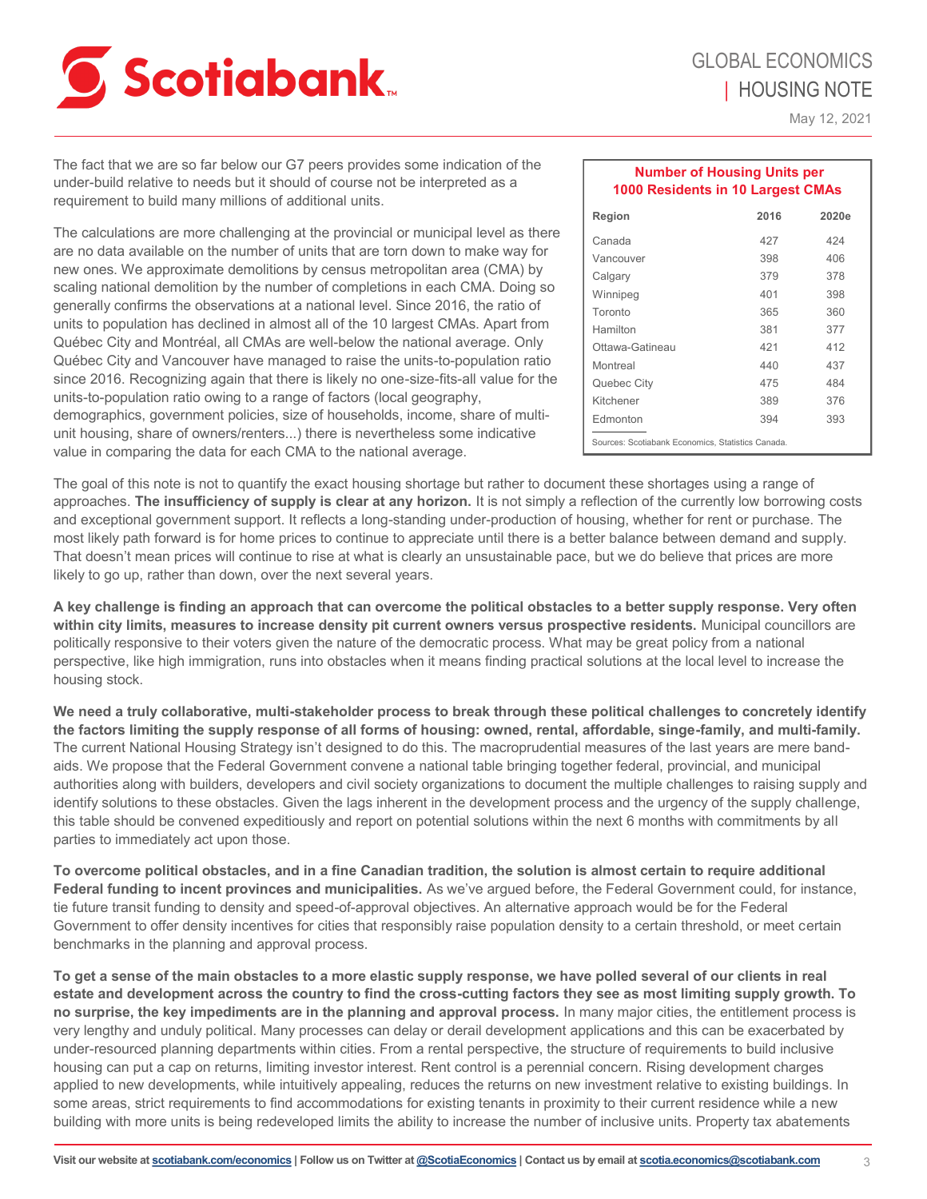# **Scotiabank**

May 12, 2021

The fact that we are so far below our G7 peers provides some indication of the under-build relative to needs but it should of course not be interpreted as a requirement to build many millions of additional units.

The calculations are more challenging at the provincial or municipal level as there are no data available on the number of units that are torn down to make way for new ones. We approximate demolitions by census metropolitan area (CMA) by scaling national demolition by the number of completions in each CMA. Doing so generally confirms the observations at a national level. Since 2016, the ratio of units to population has declined in almost all of the 10 largest CMAs. Apart from Québec City and Montréal, all CMAs are well-below the national average. Only Québec City and Vancouver have managed to raise the units-to-population ratio since 2016. Recognizing again that there is likely no one-size-fits-all value for the units-to-population ratio owing to a range of factors (local geography, demographics, government policies, size of households, income, share of multiunit housing, share of owners/renters...) there is nevertheless some indicative value in comparing the data for each CMA to the national average.

| <b>Number of Housing Units per</b><br>1000 Residents in 10 Largest CMAs |      |       |
|-------------------------------------------------------------------------|------|-------|
| Region                                                                  | 2016 | 2020e |
| Canada                                                                  | 427  | 424   |
| Vancouver                                                               | 398  | 406   |
| Calgary                                                                 | 379  | 378   |
| Winnipeg                                                                | 401  | 398   |
| Toronto                                                                 | 365  | 360   |
| Hamilton                                                                | 381  | 377   |
| Ottawa-Gatineau                                                         | 421  | 412   |
| Montreal                                                                | 440  | 437   |
| Quebec City                                                             | 475  | 484   |
| Kitchener                                                               | 389  | 376   |
| Edmonton                                                                | 394  | 393   |
| Sources: Scotiabank Economics, Statistics Canada,                       |      |       |

The goal of this note is not to quantify the exact housing shortage but rather to document these shortages using a range of approaches. **The insufficiency of supply is clear at any horizon.** It is not simply a reflection of the currently low borrowing costs and exceptional government support. It reflects a long-standing under-production of housing, whether for rent or purchase. The most likely path forward is for home prices to continue to appreciate until there is a better balance between demand and supply. That doesn't mean prices will continue to rise at what is clearly an unsustainable pace, but we do believe that prices are more likely to go up, rather than down, over the next several years.

**A key challenge is finding an approach that can overcome the political obstacles to a better supply response. Very often within city limits, measures to increase density pit current owners versus prospective residents.** Municipal councillors are politically responsive to their voters given the nature of the democratic process. What may be great policy from a national perspective, like high immigration, runs into obstacles when it means finding practical solutions at the local level to increase the housing stock.

**We need a truly collaborative, multi-stakeholder process to break through these political challenges to concretely identify the factors limiting the supply response of all forms of housing: owned, rental, affordable, singe-family, and multi-family.**  The current National Housing Strategy isn't designed to do this. The macroprudential measures of the last years are mere bandaids. We propose that the Federal Government convene a national table bringing together federal, provincial, and municipal authorities along with builders, developers and civil society organizations to document the multiple challenges to raising supply and identify solutions to these obstacles. Given the lags inherent in the development process and the urgency of the supply challenge, this table should be convened expeditiously and report on potential solutions within the next 6 months with commitments by all parties to immediately act upon those.

**To overcome political obstacles, and in a fine Canadian tradition, the solution is almost certain to require additional Federal funding to incent provinces and municipalities.** As we've argued before, the Federal Government could, for instance, tie future transit funding to density and speed-of-approval objectives. An alternative approach would be for the Federal Government to offer density incentives for cities that responsibly raise population density to a certain threshold, or meet certain benchmarks in the planning and approval process.

**To get a sense of the main obstacles to a more elastic supply response, we have polled several of our clients in real estate and development across the country to find the cross-cutting factors they see as most limiting supply growth. To no surprise, the key impediments are in the planning and approval process.** In many major cities, the entitlement process is very lengthy and unduly political. Many processes can delay or derail development applications and this can be exacerbated by under-resourced planning departments within cities. From a rental perspective, the structure of requirements to build inclusive housing can put a cap on returns, limiting investor interest. Rent control is a perennial concern. Rising development charges applied to new developments, while intuitively appealing, reduces the returns on new investment relative to existing buildings. In some areas, strict requirements to find accommodations for existing tenants in proximity to their current residence while a new building with more units is being redeveloped limits the ability to increase the number of inclusive units. Property tax abatements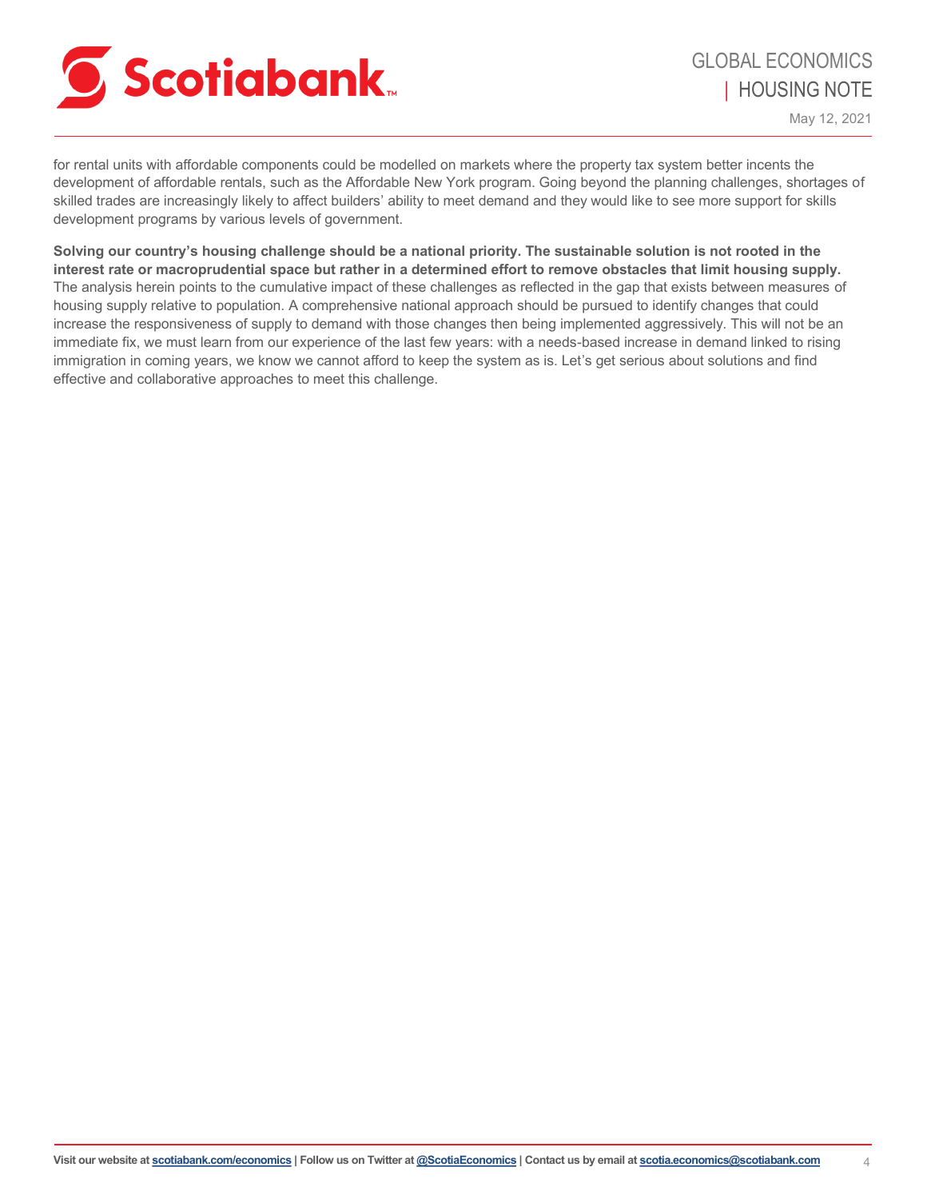

for rental units with affordable components could be modelled on markets where the property tax system better incents the development of affordable rentals, such as the Affordable New York program. Going beyond the planning challenges, shortages of skilled trades are increasingly likely to affect builders' ability to meet demand and they would like to see more support for skills development programs by various levels of government.

**Solving our country's housing challenge should be a national priority. The sustainable solution is not rooted in the interest rate or macroprudential space but rather in a determined effort to remove obstacles that limit housing supply.** The analysis herein points to the cumulative impact of these challenges as reflected in the gap that exists between measures of housing supply relative to population. A comprehensive national approach should be pursued to identify changes that could increase the responsiveness of supply to demand with those changes then being implemented aggressively. This will not be an immediate fix, we must learn from our experience of the last few years: with a needs-based increase in demand linked to rising immigration in coming years, we know we cannot afford to keep the system as is. Let's get serious about solutions and find effective and collaborative approaches to meet this challenge.